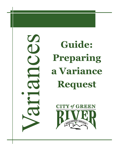S

**Guide: Preparing a Variance Request**

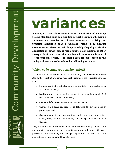# variances

**A zoning variance allows relief from or modification of a zoningrelated standard, such as a building setback requirement. Zoning variances are intended to address unnecessary hardships or practical difficulties that occasionally result from unusual circumstances related to such things as oddly shaped parcels, the application of (newer) zoning regulations to older buildings or other site-specific circumstances that are beyond the reasonable control of the property owner. The zoning variance procedures of the zoning ordinance must be followed for all zoning variances.**

# **Which code standards can be varied?**

A variance may be requested from any zoning and development code standard except that a variance may not be granted if the requested variance would:

- Permit a use that is not allowed in a zoning district (often referred to as a "use variance");
- Modify a subdivision regulation, such as those found in Appendix C of the Green River Code of Ordinances;
- Change a definition of a general term or a use type;
- Change the process required to be following for development or permit approval;
- Change a condition of approval imposed by a review and decisionmaking body, such as the Planning and Zoning Commission or City Council.

Also, it is important to remember that under the law, zoning variances are not intended merely as a way to avoid complying with applicable code provisions. Consequently, the findings required to support a variance application are intentionally difficult to meet.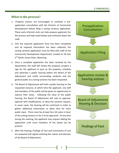# **What is the process?**

- 1. Property owners are encouraged to schedule a preapplication consultation with the Director of Community Development before filing a zoning variance application. These early informal visits can help prepare applicants for the process and help avoid delays and confusion down the road.
- 2. One the required application form has been completed and all required information has been collected, the zoning variance application must be filed with staff of the Community Development Department, located at 50 East 2<sup>nd</sup> North, Green River, Wyoming.
- 3. Once a complete application has been received by the department, the staff will review the proposal, prepare a sign for the applicant to post on the property, schedule and advertize a public hearing before the Board of the Adjustment and notify surrounding residents and the general public at a zoning variance has been requested.
- 4. The Board of Adjustment will hold a public hearing on the requested variance, at which time the applicant, city staff and members of the public will be given an opportunity to express their views. Following the close of the public hearing, the Board of Adjustment will vote to approve, approve with modifications, or deny the variance request. In some cases, the hearing will be continued in order to gather additional information or allow time for more public input. There must be at least four (4) votes in favor of the zoning variance in for it to be approved. At any time during the meeting, the applicant may request tabling the application until more members of the board can be present.
- 5. After the hearing, Findings of Fact and Conclusions of Law are prepared and signed outlining the reason and decision of the Board of Adjustment.

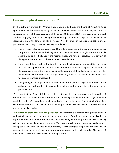## **How are applications reviewed?**

By the authority granted by Wyoming State Statute 15-1-608, the Board of Adjustment, as appointment by the Governing Body of the City of Green River, may vary or adjust the strict application of any of the requirements of the Zoning Ordinance ONLY in the case of any physical condition applying to a lot or building if the strict application would deprive the owner of the reasonable use of the land or building involved. No adjustment in the strict application of any provision of the Zoning Ordinance may be granted unless:

- There are special circumstances or conditions, fully described in the board's findings, which are peculiar to the land or building for which the adjustment is sought and do not apply generally to land or buildings in the neighborhood, and have not resulted from any act of the applicant subsequent to the adoption of the ordinance;
- For reasons fully set forth in the board's findings, the circumstances or conditions are such that the strict application of the provisions of the ordinance would deprive the applicant of the reasonable use of the land or building, the granting of the adjustment is necessary for the reasonable use thereof and the adjustment as granted is the minimum adjustment that will accomplish this purpose; and,
- The granting of the adjustment is in harmony with the general purposes and intent of the ordinance and will not be injurious to the neighborhood or otherwise detrimental to the public welfare.

To ensure that the Board of Adjustment does not make decisions contrary to or in violation of the state statute outlined above, the Green River Zoning Ordinance outlines eight minimum conditions (criteria). No variance shall be authorized unless the board finds that all of the eight conditions/criteria exist based on the evidence presented with the variance application and during the public hearing.

**The burden of proof rests with the petitioner** and therefore it is imperative to provide detailed and factual evidence and responses to the Variance Review Criteria portion of the application to support your belief that your property does not have parity with other properties. The following will help you in formulating your responses. The suggestions below are by no means the only or valid justifications for a variance on your property. These examples are provided to allow you to consider the uniqueness of your property in your response to the eight criteria. The Board of Adjustment considers each variance on its unique merits.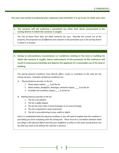*Use your own words in preparing your responses and remember it is up to you to make your case.* 

#### **1. The variance will not authorize a permitted use other than those enumerated in the zoning district in which the variance is sought.**

*The City of Green River does not allow variances for uses. Describe the current use of the property, the proposed use (if different) and compare to the permitted uses in the zoning district in which it is located.* 

**2. Owing to extraordinary circumstances or conditions relating to the land or building for which the variance is sought, literal enforcement of the provisions of this ordinance will result in unnecessary hardship and deprive the applicant of a reasonable use of his land or building.**

*The special physical conditions must directly affect, create or contribute to the need for the zoning variance. Examples of physical conditions are:*

- *A. Physical features peculiar to the lot:*
	- *1. Steep slopes impact \_\_\_\_% of the lot*
	- *2. Water bodies, floodplain, drainages, wetlands impact \_\_\_\_% of the lot*
	- *3. Unstable soil conditions impact \_\_\_\_% of the lot*
- *B. Platting features peculiar to the lot:*
	- *1. The lot is not platted*
	- *2. The lot is oddly shaped*
	- *3. The lot has more than 2 street frontages or no street frontage*
	- *4. The lot is impacted to many easements*
	- *5. The lot is nonconforming in area, width or depth*

*Once it is established what the physical condition is, you will need to explain how the condition is precluding you from complying with the zoning law. There must be a correlation between what you allege is the physical defect and why your neighbors or others in the same zoning district can do what you want to do without the need for a variance.*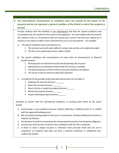**3. The extraordinary circumstances or conditions were not created by the owner of the property and do not represent a general condition of the district in which the property is located.**

*Provide evidence that the hardship is not self-imposed and that the special conditions and circumstances do not result from the actions of the applicant. You must explain why the need for the variance is due to circumstances that are beyond your control; and that your request for a variance is not solely to make it more convenient for you to use the property. For example:*

- *A. The special conditions and circumstances are:*
	- *1. The structure was built under different zoning rules and has non-conforming rights*
	- *2. The lot is non-conforming in area, width or depth*
- *B. The special conditions and circumstances are more than an inconvenience or financial burden because:*
	- *1. Removing the encroachment would severely damage the structure*
	- *2. Removing the encroachment would render the structure unusable*
	- *3. The physical features of the lot limit construction locations and options*
	- *4. The access to the lot cannot be physically relocated*
- *C. I considered all the possible conforming alternatives and I am not able to:*
	- *1. Redesign the structure because \_\_\_\_\_\_\_\_*
	- *2. Move the structure because \_\_\_\_\_\_\_\_*
	- *3. Move lot lines or replat the property because \_\_\_\_\_\_\_*
	- *4. Rezone the property because \_\_\_\_\_\_\_*
	- *5. Acquire abutting property because \_\_\_\_\_\_\_*

*Examples of reasons that are self-imposed conditions or resulting from action by the owner include:*

- *A. Constructing a non-compliant structure without obtaining a building permit or in conflict with the approved building permit.*
- *B. Not accurately locating property lines prior to construction, thereby building the structure in violation of setbacks.*
- *C. Purchasing a lot without researching the zoning requirements first (not doing due diligence).*
- *D. Construction will cost more to bring it into compliance with the City's standards.*
- *E. A desire to want a larger structure or otherwise meet personal needs that are not in compliance on property that does not have a physical constraint or established nonconforming setback.*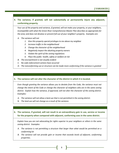## **4. The variance, if granted, will not substantially or permanently injure any adjacent, conforming property.**

*Your use of the property and variance, if granted, will not make your property, or your neighbors, incompatible with what the Green River Comprehensive Master Plan describes as appropriate for the area; and does not devalue or prevent full use of your neighbor's property. Examples are:*

- *A. The variance will not*
	- *1. Give this property special privileges to me above my neighbor*
	- *2. Increase traffic in the neighborhood*
	- *3. Change the character of the neighborhood*
	- *4. Negatively impact the abutting property owners*
	- *5. Violate the spirit of the zoning regulations*
	- *6. Place the public health, safety or welfare at risk*
- *B. The encroachment is not visually evident*
- *C. No code enforcement actions have occurred*
- *D. The nonconforming use or structure can be made more conforming if the variance is granted*

#### **5. The variance will not alter the character of the district in which it is located.**

Even though granting the variance allows you to deviate from the Code, the variance must not *change the intent of the Code or change the character of neighbors who are in the same zoning district. Explain how the variance, if approved, will not alter the character of the zoning district. Examples:*

- *A. The variance will not allow a land use that is not permitted in the zoning district.*
- B. *The land use will not change as a result of the variance.*

#### **6. The variance, if granted, will not result in an extraordinary gain in use, service or income for the property when compared with adjacent, conforming uses in the same district.**

*Explain how you are not advocating for rights superior to your neighbors or others in the same zoning district. Examples:*

- *A. The variance is not permitting a structure that larger than what would be permitted on a conforming lot*
- *B. The variance will not provide gain or income that exceeds levels of adjacent, conforming properties.*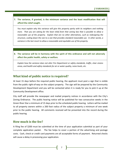## **7. The variance, if granted, is the minimum variance and the least modification that will afford the relief sought.**

*You must explain why this variance will give this property parity with its neighbors and nothing more. That you are asking for the least relief from that zoning law that is possible to allow a reasonable use of the property. Explain that are no other alternatives, such as redesigning the structure, scaling down the size to a size that provides standard reasonable use. In other words, a variance is the last resort to allow a reasonable and equitable use of the property.*

**8. The variance will be in harmony with the spirit of this ordinance and will not adversely affect the public health, safety or welfare.**

*Explain how the variance does not alter Fire Department or safety standards, traffic, clear visions areas, and health and safety standards for air or water quality, noise levels, etc.*

## **What kind of public notice is required?**

At least 15 days before the required public hearing, the applicant must post a sign that is visible from the public right-of-way on the subject property. The sign will be prepared by the Community Development Department and you will be contacted when it is ready for you to pick it up at the Community Development office.

City staff will provide the newspaper and mailed property notices in accordance with the City's Zoning Ordinance. The public hearing notice will be published for two consecutive weeks in the Green River Star a minimum of 15 days prior to the scheduled public hearing. Letters will be mailed to all property owners within a 200 foot radius of the subject property a minimum of one week prior to the public hearing. All comments received will be presented into the record during the public hearing.

## **How much is the fee?**

A filing fee of \$200 must be submitted at the time of your application submittal as part of your complete application packet. The fee helps to cover a portion of the advertising and postage costs. Cash, check or credit card payments are all acceptable forms of payment. Returned checks will cause a delay in processing your application.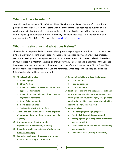## **What do I have to submit?**

You will need to submit a City of Green River "Application for Zoning Variance" on the form provided by the City of Green River along with all of the information required as outlined in the application. Missing items will constitute an incomplete application that will not be processed. You may pick up an application in the Community Development Office. The application is also available on the City of Green River website[: www.cityofgreenriver.org.](http://www.cityofgreenriver.org/)

## **What is the site plan and what does it show?**

The site plan is the probably the most critical component to your application submittal. The site plan is a "bird's eye view" drawing of your property that shows the existing development of your property as well as the development that is proposed with your variance request. To prevent delays in the review of your request, it is vital that the site plan shows everything in detailed and is accurate. If the variance is approved, the variance stays with the property, and therefore, will remain in the City of Green River address file for the property for future use and reference. When preparing the site plan, utilize the following checklist. All items are required.

- **Title block that includes:**
	- o **Name of project**
	- o **Street Address**
	- o **Name & mailing address of owner and applicant (if different)**
	- o **Name & mailing address of architect or engineer (if applicable)**
	- o **Date of plan preparation**
	- o **North point indicator**
	- o **Scale of drawing (i.e. ¼" = 1 foot)**
- **Overall site dimensions and accurate depiction of property lines (A legal survey may be required).**
- **Any easements pertinent to the site**
- **Adjacent streets and street right-of-way**
- **Dimension, height and setbacks of existing and proposed building(s)**
- **Sidewalks, walkways, driveways and property access points (existing and proposed)**
- **Computation table to include the following:**
	- o **Total site area**
	- o **Total building area**
	- o **Total open space**
- **Locations of existing and proposed objects and structures on the site such as fences, trees, utility poles and structures, signs, etc. (indicate which existing objects are to remain and which existing objects will be removed)**
- **Commercial Only:**
	- o **Exterior signs (existing & proposed)**
	- o **Exterior lighting (existing & proposed)**
	- o **Parking spaces (including space dimensions and aisle widths)**
	- o **Traffic flow both on-site and off-site (existing and proposed)**
	- o **Landscaped areas (existing & proposed)**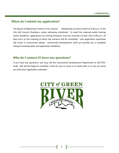# **When do I submit my application?**

The Board of Adjustment meets on the second Wednesday of every month at 6:30 p.m. in the City Hall Council Chambers, unless otherwise scheduled. To meet the required public hearing notice deadlines, applications for Zoning Variances must be received no later than 5:00 p.m. 20 days prior to the meeting at which the variance will be scheduled. Late application submittals will result in unnecessary delays. Community Development staff can provide you a complete listing of meeting dates and application deadlines.

## **Who do I contact if I have any questions?**

If you have any questions, you may call the Community Development Department at 307-872- 6140. We will be happy to schedule a time for you to come in to meet with us so we can assist you with your application submittal.

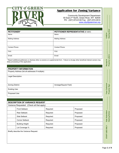

# **Application for Zoning Variance**

Community Development Department 50 East 2nd North, Green River, WY 82935 PH: (307) 872-6140 Fax: (307) 872-0510 www.cityofgreenriver.org

| <b>PETITIONER*</b>     | <b>PETITIONER REPRESENTATIVE (IF ANY)</b> |
|------------------------|-------------------------------------------|
| Name                   | Name                                      |
| <b>Mailing Address</b> | <b>Mailing Address</b>                    |
|                        |                                           |
| Contact Phone:         | Contact Phone:                            |
| FAX:                   | FAX:                                      |
| Email:                 | Email:                                    |

\* Report additional petitioners or disclose other co-owners on supplemental form. Failure to divulge other beneficial interest owners may delay processing of this application.

#### **PROPERTY INFORMATION**

Property Address (list all addresses if multiple):

Legal Description:

Zoning District:  $\vert$  Acreage/Square Feet):

Existing Use:

Proposed Use:

|                                            | <b>DESCRIPTION OF VARIANCE REQUEST</b> |           |           |              |             |
|--------------------------------------------|----------------------------------------|-----------|-----------|--------------|-------------|
| Variance Requested: (Check all that apply) |                                        |           |           |              |             |
|                                            | <b>Front Setback</b>                   | Required: | Proposed: |              |             |
|                                            | <b>Rear Setback</b>                    | Required: | Proposed: |              |             |
|                                            | Side Setback                           | Required: | Proposed: |              | Submitted:  |
|                                            | Corner Setback                         | Required: | Proposed: |              | <b>Date</b> |
|                                            | <b>Building Height</b>                 | Required: | Proposed: |              |             |
|                                            | Lot Coverage %                         | Required: | Proposed: | <b>CATNC</b> |             |

Briefly describe the Variance Request: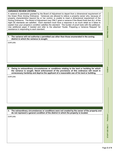#### **VARIANCE REVIEW CRITERIA**

A variance is permission granted by the Board of Adjustment to depart from a dimensional requirement of the Green River Zoning Ordinance. Variances are allowed to relieve a property owner who, because of property characteristics beyond his or her control, is unable to meet a dimensional requirement of the Zoning Ordinance. The Board of Adjustment may ONLY grant a variance if the Board finds that ALL of the eight (8) standards are satisfied. Each standard must have a response in as much detail as it takes to explain how your property's condition satisfies the standard. The burden of proof rests with the petitioner. Use additional paper if needed and refer to the attached "Guide: Preparing a Variance Request" for assistance in responding to each standard.

#### **1. The variance will not authorize a permitted use other than those enumerated in the zoning district in which the variance is sought.**

EXPLAIN:

**2. Owing to extraordinary circumstances or conditions relating to the land or building for which the variance is sought, literal enforcement of the provisions of this ordinance will result in unnecessary hardship and deprive the applicant of a reasonable use of his land or building.** 

EXPLAIN:

**3. The extraordinary circumstances or conditions were not created by the owner of the property and do not represent a general condition of the district in which the property is located.** 

EXPLAIN:

**STAFF USE ONLY: Petitioner: \_\_\_\_\_\_\_\_\_\_\_\_\_\_\_\_\_\_\_\_\_\_\_\_\_\_\_\_\_\_ CASE #: \_\_\_\_\_\_\_\_\_\_\_\_\_\_\_\_\_\_\_\_ MEETING DATE: \_\_\_\_\_\_\_\_\_\_\_\_\_\_\_** 

**MEETING DATE:** 

Petitioner

STAFF USE ONLY: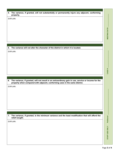#### **4. The variance, if granted, will not substantially or permanently injure any adjacent, conforming property.**

EXPLAIN:

**5. The variance will not alter the character of the district in which it is located.** 

EXPLAIN:

**6. The variance, if granted, will not result in an extraordinary gain in use, service or income for the property when compared with adjacent, conforming uses in the same district.** 

EXPLAIN:

**7. The variance, if granted, is the minimum variance and the least modification that will afford the relief sought.** 

EXPLAIN:

**MEETING DATE:**